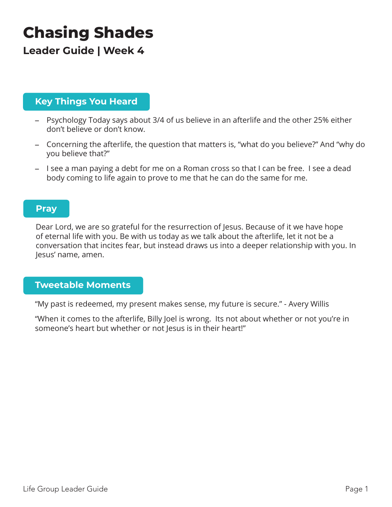# **Chasing Shades**

# **Leader Guide | Week 4**

## **Key Things You Heard**

- Psychology Today says about 3/4 of us believe in an afterlife and the other 25% either don't believe or don't know.
- Concerning the afterlife, the question that matters is, "what do you believe?" And "why do you believe that?"
- I see a man paying a debt for me on a Roman cross so that I can be free. I see a dead body coming to life again to prove to me that he can do the same for me.

### **Pray**

Dear Lord, we are so grateful for the resurrection of Jesus. Because of it we have hope of eternal life with you. Be with us today as we talk about the afterlife, let it not be a conversation that incites fear, but instead draws us into a deeper relationship with you. In Jesus' name, amen.

#### **Tweetable Moments**

"My past is redeemed, my present makes sense, my future is secure." - Avery Willis

"When it comes to the afterlife, Billy Joel is wrong. Its not about whether or not you're in someone's heart but whether or not lesus is in their heart!"